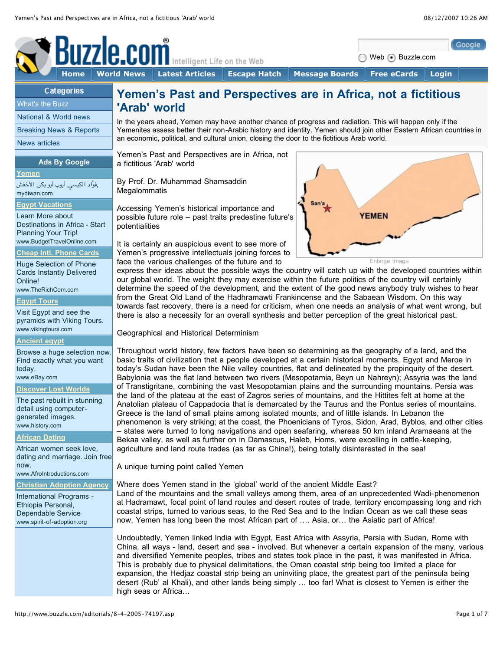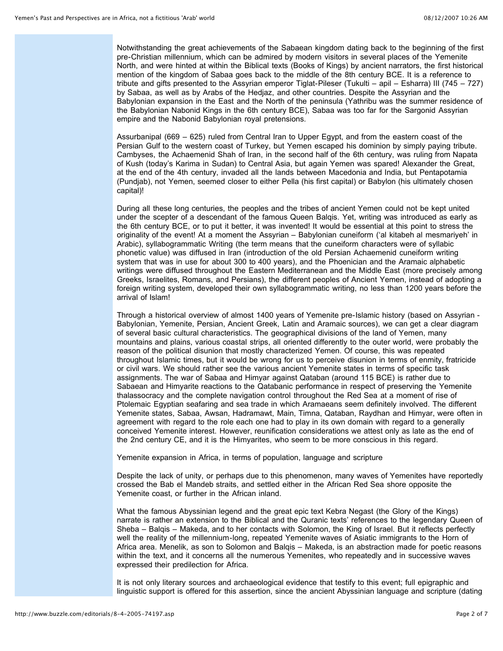Notwithstanding the great achievements of the Sabaean kingdom dating back to the beginning of the first pre-Christian millennium, which can be admired by modern visitors in several places of the Yemenite North, and were hinted at within the Biblical texts (Books of Kings) by ancient narrators, the first historical mention of the kingdom of Sabaa goes back to the middle of the 8th century BCE. It is a reference to tribute and gifts presented to the Assyrian emperor Tiglat-Pileser (Tukulti – apil – Esharra) III (745 – 727) by Sabaa, as well as by Arabs of the Hedjaz, and other countries. Despite the Assyrian and the Babylonian expansion in the East and the North of the peninsula (Yathribu was the summer residence of the Babylonian Nabonid Kings in the 6th century BCE), Sabaa was too far for the Sargonid Assyrian empire and the Nabonid Babylonian royal pretensions.

Assurbanipal (669 – 625) ruled from Central Iran to Upper Egypt, and from the eastern coast of the Persian Gulf to the western coast of Turkey, but Yemen escaped his dominion by simply paying tribute. Cambyses, the Achaemenid Shah of Iran, in the second half of the 6th century, was ruling from Napata of Kush (today's Karima in Sudan) to Central Asia, but again Yemen was spared! Alexander the Great, at the end of the 4th century, invaded all the lands between Macedonia and India, but Pentapotamia (Pundjab), not Yemen, seemed closer to either Pella (his first capital) or Babylon (his ultimately chosen capital)!

During all these long centuries, the peoples and the tribes of ancient Yemen could not be kept united under the scepter of a descendant of the famous Queen Balqis. Yet, writing was introduced as early as the 6th century BCE, or to put it better, it was invented! It would be essential at this point to stress the originality of the event! At a moment the Assyrian – Babylonian cuneiform ('al kitabeh al mesmariyeh' in Arabic), syllabogrammatic Writing (the term means that the cuneiform characters were of syllabic phonetic value) was diffused in Iran (introduction of the old Persian Achaemenid cuneiform writing system that was in use for about 300 to 400 years), and the Phoenician and the Aramaic alphabetic writings were diffused throughout the Eastern Mediterranean and the Middle East (more precisely among Greeks, Israelites, Romans, and Persians), the different peoples of Ancient Yemen, instead of adopting a foreign writing system, developed their own syllabogrammatic writing, no less than 1200 years before the arrival of Islam!

Through a historical overview of almost 1400 years of Yemenite pre-Islamic history (based on Assyrian - Babylonian, Yemenite, Persian, Ancient Greek, Latin and Aramaic sources), we can get a clear diagram of several basic cultural characteristics. The geographical divisions of the land of Yemen, many mountains and plains, various coastal strips, all oriented differently to the outer world, were probably the reason of the political disunion that mostly characterized Yemen. Of course, this was repeated throughout Islamic times, but it would be wrong for us to perceive disunion in terms of enmity, fratricide or civil wars. We should rather see the various ancient Yemenite states in terms of specific task assignments. The war of Sabaa and Himyar against Qataban (around 115 BCE) is rather due to Sabaean and Himyarite reactions to the Qatabanic performance in respect of preserving the Yemenite thalassocracy and the complete navigation control throughout the Red Sea at a moment of rise of Ptolemaic Egyptian seafaring and sea trade in which Aramaeans seem definitely involved. The different Yemenite states, Sabaa, Awsan, Hadramawt, Main, Timna, Qataban, Raydhan and Himyar, were often in agreement with regard to the role each one had to play in its own domain with regard to a generally conceived Yemenite interest. However, reunification considerations we attest only as late as the end of the 2nd century CE, and it is the Himyarites, who seem to be more conscious in this regard.

Yemenite expansion in Africa, in terms of population, language and scripture

Despite the lack of unity, or perhaps due to this phenomenon, many waves of Yemenites have reportedly crossed the Bab el Mandeb straits, and settled either in the African Red Sea shore opposite the Yemenite coast, or further in the African inland.

What the famous Abyssinian legend and the great epic text Kebra Negast (the Glory of the Kings) narrate is rather an extension to the Biblical and the Quranic texts' references to the legendary Queen of Sheba – Balqis – Makeda, and to her contacts with Solomon, the King of Israel. But it reflects perfectly well the reality of the millennium-long, repeated Yemenite waves of Asiatic immigrants to the Horn of Africa area. Menelik, as son to Solomon and Balqis – Makeda, is an abstraction made for poetic reasons within the text, and it concerns all the numerous Yemenites, who repeatedly and in successive waves expressed their predilection for Africa.

It is not only literary sources and archaeological evidence that testify to this event; full epigraphic and linguistic support is offered for this assertion, since the ancient Abyssinian language and scripture (dating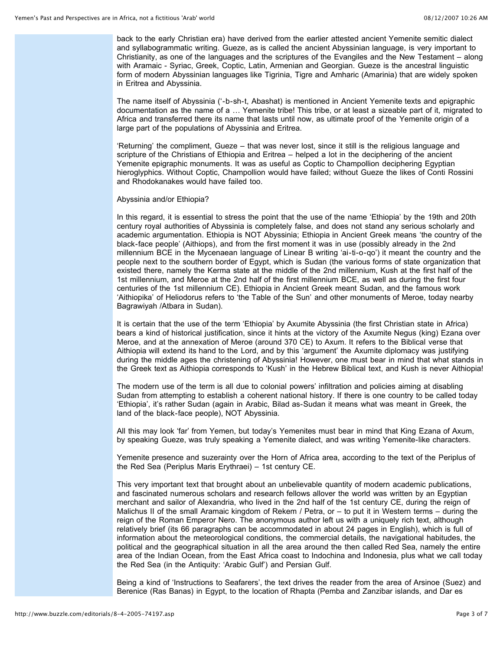back to the early Christian era) have derived from the earlier attested ancient Yemenite semitic dialect and syllabogrammatic writing. Gueze, as is called the ancient Abyssinian language, is very important to Christianity, as one of the languages and the scriptures of the Evangiles and the New Testament – along with Aramaic - Syriac, Greek, Coptic, Latin, Armenian and Georgian. Gueze is the ancestral linguistic form of modern Abyssinian languages like Tigrinia, Tigre and Amharic (Amarinia) that are widely spoken in Eritrea and Abyssinia.

The name itself of Abyssinia ('-b-sh-t, Abashat) is mentioned in Ancient Yemenite texts and epigraphic documentation as the name of a … Yemenite tribe! This tribe, or at least a sizeable part of it, migrated to Africa and transferred there its name that lasts until now, as ultimate proof of the Yemenite origin of a large part of the populations of Abyssinia and Eritrea.

'Returning' the compliment, Gueze – that was never lost, since it still is the religious language and scripture of the Christians of Ethiopia and Eritrea – helped a lot in the deciphering of the ancient Yemenite epigraphic monuments. It was as useful as Coptic to Champollion deciphering Egyptian hieroglyphics. Without Coptic, Champollion would have failed; without Gueze the likes of Conti Rossini and Rhodokanakes would have failed too.

### Abyssinia and/or Ethiopia?

In this regard, it is essential to stress the point that the use of the name 'Ethiopia' by the 19th and 20th century royal authorities of Abyssinia is completely false, and does not stand any serious scholarly and academic argumentation. Ethiopia is NOT Abyssinia; Ethiopia in Ancient Greek means 'the country of the black-face people' (Aithiops), and from the first moment it was in use (possibly already in the 2nd millennium BCE in the Mycenaean language of Linear B writing 'ai-ti-o-qo') it meant the country and the people next to the southern border of Egypt, which is Sudan (the various forms of state organization that existed there, namely the Kerma state at the middle of the 2nd millennium, Kush at the first half of the 1st millennium, and Meroe at the 2nd half of the first millennium BCE, as well as during the first four centuries of the 1st millennium CE). Ethiopia in Ancient Greek meant Sudan, and the famous work 'Aithiopika' of Heliodorus refers to 'the Table of the Sun' and other monuments of Meroe, today nearby Bagrawiyah /Atbara in Sudan).

It is certain that the use of the term 'Ethiopia' by Axumite Abyssinia (the first Christian state in Africa) bears a kind of historical justification, since it hints at the victory of the Axumite Negus (king) Ezana over Meroe, and at the annexation of Meroe (around 370 CE) to Axum. It refers to the Biblical verse that Aithiopia will extend its hand to the Lord, and by this 'argument' the Axumite diplomacy was justifying during the middle ages the christening of Abyssinia! However, one must bear in mind that what stands in the Greek text as Aithiopia corresponds to 'Kush' in the Hebrew Biblical text, and Kush is never Aithiopia!

The modern use of the term is all due to colonial powers' infiltration and policies aiming at disabling Sudan from attempting to establish a coherent national history. If there is one country to be called today 'Ethiopia', it's rather Sudan (again in Arabic, Bilad as-Sudan it means what was meant in Greek, the land of the black-face people), NOT Abyssinia.

All this may look 'far' from Yemen, but today's Yemenites must bear in mind that King Ezana of Axum, by speaking Gueze, was truly speaking a Yemenite dialect, and was writing Yemenite-like characters.

Yemenite presence and suzerainty over the Horn of Africa area, according to the text of the Periplus of the Red Sea (Periplus Maris Erythraei) – 1st century CE.

This very important text that brought about an unbelievable quantity of modern academic publications, and fascinated numerous scholars and research fellows allover the world was written by an Egyptian merchant and sailor of Alexandria, who lived in the 2nd half of the 1st century CE, during the reign of Malichus II of the small Aramaic kingdom of Rekem / Petra, or – to put it in Western terms – during the reign of the Roman Emperor Nero. The anonymous author left us with a uniquely rich text, although relatively brief (its 66 paragraphs can be accommodated in about 24 pages in English), which is full of information about the meteorological conditions, the commercial details, the navigational habitudes, the political and the geographical situation in all the area around the then called Red Sea, namely the entire area of the Indian Ocean, from the East Africa coast to Indochina and Indonesia, plus what we call today the Red Sea (in the Antiquity: 'Arabic Gulf') and Persian Gulf.

Being a kind of 'Instructions to Seafarers', the text drives the reader from the area of Arsinoe (Suez) and Berenice (Ras Banas) in Egypt, to the location of Rhapta (Pemba and Zanzibar islands, and Dar es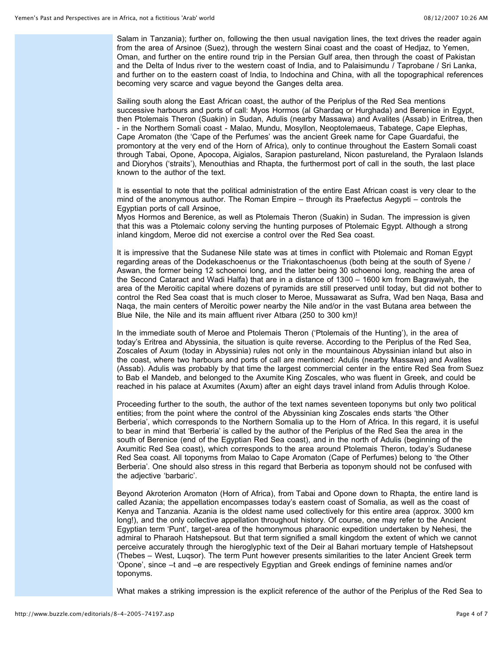Salam in Tanzania); further on, following the then usual navigation lines, the text drives the reader again from the area of Arsinoe (Suez), through the western Sinai coast and the coast of Hediaz, to Yemen, Oman, and further on the entire round trip in the Persian Gulf area, then through the coast of Pakistan and the Delta of Indus river to the western coast of India, and to Palaisimundu / Taprobane / Sri Lanka, and further on to the eastern coast of India, to Indochina and China, with all the topographical references becoming very scarce and vague beyond the Ganges delta area.

Sailing south along the East African coast, the author of the Periplus of the Red Sea mentions successive harbours and ports of call: Myos Hormos (al Ghardaq or Hurghada) and Berenice in Egypt, then Ptolemais Theron (Suakin) in Sudan, Adulis (nearby Massawa) and Avalites (Assab) in Eritrea, then - in the Northern Somali coast - Malao, Mundu, Mosyllon, Neoptolemaeus, Tabatege, Cape Elephas, Cape Aromaton (the 'Cape of the Perfumes' was the ancient Greek name for Cape Guardafui, the promontory at the very end of the Horn of Africa), only to continue throughout the Eastern Somali coast through Tabai, Opone, Apocopa, Aigialos, Sarapion pastureland, Nicon pastureland, the Pyralaon Islands and Dioryhos ('straits'), Menouthias and Rhapta, the furthermost port of call in the south, the last place known to the author of the text.

It is essential to note that the political administration of the entire East African coast is very clear to the mind of the anonymous author. The Roman Empire – through its Praefectus Aegypti – controls the Egyptian ports of call Arsinoe,

Myos Hormos and Berenice, as well as Ptolemais Theron (Suakin) in Sudan. The impression is given that this was a Ptolemaic colony serving the hunting purposes of Ptolemaic Egypt. Although a strong inland kingdom, Meroe did not exercise a control over the Red Sea coast.

It is impressive that the Sudanese Nile state was at times in conflict with Ptolemaic and Roman Egypt regarding areas of the Dodekaschoenus or the Triakontaschoenus (both being at the south of Syene / Aswan, the former being 12 schoenoi long, and the latter being 30 schoenoi long, reaching the area of the Second Cataract and Wadi Halfa) that are in a distance of 1300 – 1600 km from Bagrawiyah, the area of the Meroitic capital where dozens of pyramids are still preserved until today, but did not bother to control the Red Sea coast that is much closer to Meroe, Mussawarat as Sufra, Wad ben Naqa, Basa and Naqa, the main centers of Meroitic power nearby the Nile and/or in the vast Butana area between the Blue Nile, the Nile and its main affluent river Atbara (250 to 300 km)!

In the immediate south of Meroe and Ptolemais Theron ('Ptolemais of the Hunting'), in the area of today's Eritrea and Abyssinia, the situation is quite reverse. According to the Periplus of the Red Sea, Zoscales of Axum (today in Abyssinia) rules not only in the mountainous Abyssinian inland but also in the coast, where two harbours and ports of call are mentioned: Adulis (nearby Massawa) and Avalites (Assab). Adulis was probably by that time the largest commercial center in the entire Red Sea from Suez to Bab el Mandeb, and belonged to the Axumite King Zoscales, who was fluent in Greek, and could be reached in his palace at Axumites (Axum) after an eight days travel inland from Adulis through Koloe.

Proceeding further to the south, the author of the text names seventeen toponyms but only two political entities; from the point where the control of the Abyssinian king Zoscales ends starts 'the Other Berberia', which corresponds to the Northern Somalia up to the Horn of Africa. In this regard, it is useful to bear in mind that 'Berberia' is called by the author of the Periplus of the Red Sea the area in the south of Berenice (end of the Egyptian Red Sea coast), and in the north of Adulis (beginning of the Axumitic Red Sea coast), which corresponds to the area around Ptolemais Theron, today's Sudanese Red Sea coast. All toponyms from Malao to Cape Aromaton (Cape of Perfumes) belong to 'the Other Berberia'. One should also stress in this regard that Berberia as toponym should not be confused with the adjective 'barbaric'.

Beyond Akroterion Aromaton (Horn of Africa), from Tabai and Opone down to Rhapta, the entire land is called Azania; the appellation encompasses today's eastern coast of Somalia, as well as the coast of Kenya and Tanzania. Azania is the oldest name used collectively for this entire area (approx. 3000 km long!), and the only collective appellation throughout history. Of course, one may refer to the Ancient Egyptian term 'Punt', target-area of the homonymous pharaonic expedition undertaken by Nehesi, the admiral to Pharaoh Hatshepsout. But that term signified a small kingdom the extent of which we cannot perceive accurately through the hieroglyphic text of the Deir al Bahari mortuary temple of Hatshepsout (Thebes – West, Luqsor). The term Punt however presents similarities to the later Ancient Greek term 'Opone', since –t and –e are respectively Egyptian and Greek endings of feminine names and/or toponyms.

What makes a striking impression is the explicit reference of the author of the Periplus of the Red Sea to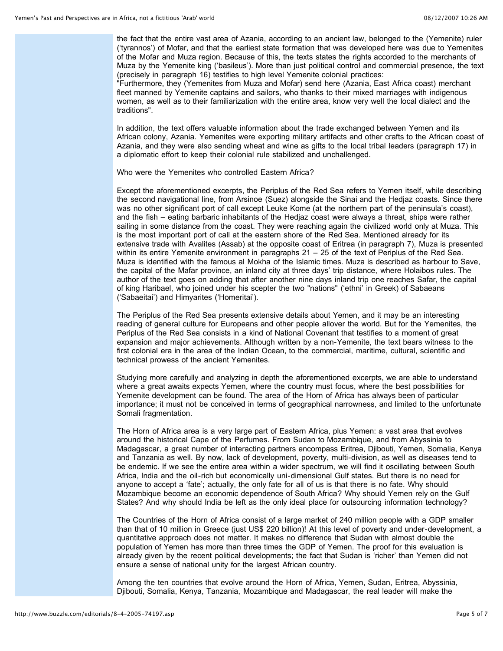the fact that the entire vast area of Azania, according to an ancient law, belonged to the (Yemenite) ruler ('tyrannos') of Mofar, and that the earliest state formation that was developed here was due to Yemenites of the Mofar and Muza region. Because of this, the texts states the rights accorded to the merchants of Muza by the Yemenite king ('basileus'). More than just political control and commercial presence, the text (precisely in paragraph 16) testifies to high level Yemenite colonial practices:

"Furthermore, they (Yemenites from Muza and Mofar) send here (Azania, East Africa coast) merchant fleet manned by Yemenite captains and sailors, who thanks to their mixed marriages with indigenous women, as well as to their familiarization with the entire area, know very well the local dialect and the traditions".

In addition, the text offers valuable information about the trade exchanged between Yemen and its African colony, Azania. Yemenites were exporting military artifacts and other crafts to the African coast of Azania, and they were also sending wheat and wine as gifts to the local tribal leaders (paragraph 17) in a diplomatic effort to keep their colonial rule stabilized and unchallenged.

Who were the Yemenites who controlled Eastern Africa?

Except the aforementioned excerpts, the Periplus of the Red Sea refers to Yemen itself, while describing the second navigational line, from Arsinoe (Suez) alongside the Sinai and the Hedjaz coasts. Since there was no other significant port of call except Leuke Kome (at the northern part of the peninsula's coast), and the fish – eating barbaric inhabitants of the Hedjaz coast were always a threat, ships were rather sailing in some distance from the coast. They were reaching again the civilized world only at Muza. This is the most important port of call at the eastern shore of the Red Sea. Mentioned already for its extensive trade with Avalites (Assab) at the opposite coast of Eritrea (in paragraph 7), Muza is presented within its entire Yemenite environment in paragraphs 21 – 25 of the text of Periplus of the Red Sea. Muza is identified with the famous al Mokha of the Islamic times. Muza is described as harbour to Save, the capital of the Mafar province, an inland city at three days' trip distance, where Holaibos rules. The author of the text goes on adding that after another nine days inland trip one reaches Safar, the capital of king Haribael, who joined under his scepter the two "nations" ('ethni' in Greek) of Sabaeans ('Sabaeitai') and Himyarites ('Homeritai').

The Periplus of the Red Sea presents extensive details about Yemen, and it may be an interesting reading of general culture for Europeans and other people allover the world. But for the Yemenites, the Periplus of the Red Sea consists in a kind of National Covenant that testifies to a moment of great expansion and major achievements. Although written by a non-Yemenite, the text bears witness to the first colonial era in the area of the Indian Ocean, to the commercial, maritime, cultural, scientific and technical prowess of the ancient Yemenites.

Studying more carefully and analyzing in depth the aforementioned excerpts, we are able to understand where a great awaits expects Yemen, where the country must focus, where the best possibilities for Yemenite development can be found. The area of the Horn of Africa has always been of particular importance; it must not be conceived in terms of geographical narrowness, and limited to the unfortunate Somali fragmentation.

The Horn of Africa area is a very large part of Eastern Africa, plus Yemen: a vast area that evolves around the historical Cape of the Perfumes. From Sudan to Mozambique, and from Abyssinia to Madagascar, a great number of interacting partners encompass Eritrea, Djibouti, Yemen, Somalia, Kenya and Tanzania as well. By now, lack of development, poverty, multi-division, as well as diseases tend to be endemic. If we see the entire area within a wider spectrum, we will find it oscillating between South Africa, India and the oil-rich but economically uni-dimensional Gulf states. But there is no need for anyone to accept a 'fate'; actually, the only fate for all of us is that there is no fate. Why should Mozambique become an economic dependence of South Africa? Why should Yemen rely on the Gulf States? And why should India be left as the only ideal place for outsourcing information technology?

The Countries of the Horn of Africa consist of a large market of 240 million people with a GDP smaller than that of 10 million in Greece (just US\$ 220 billion)! At this level of poverty and under-development, a quantitative approach does not matter. It makes no difference that Sudan with almost double the population of Yemen has more than three times the GDP of Yemen. The proof for this evaluation is already given by the recent political developments; the fact that Sudan is 'richer' than Yemen did not ensure a sense of national unity for the largest African country.

Among the ten countries that evolve around the Horn of Africa, Yemen, Sudan, Eritrea, Abyssinia, Djibouti, Somalia, Kenya, Tanzania, Mozambique and Madagascar, the real leader will make the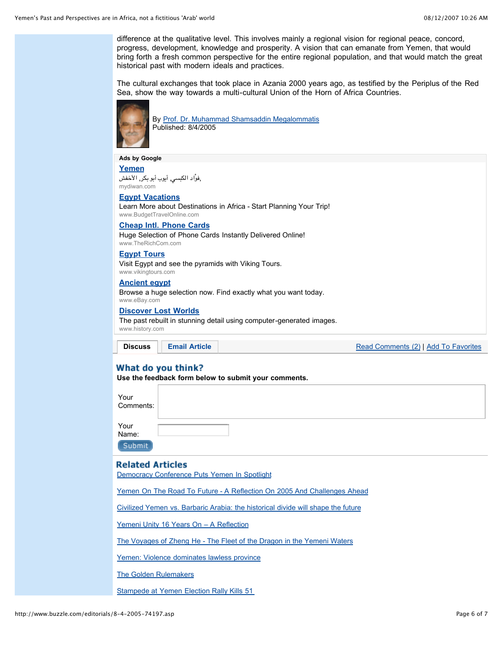difference at the qualitative level. This involves mainly a regional vision for regional peace, concord, progress, development, knowledge and prosperity. A vision that can emanate from Yemen, that would bring forth a fresh common perspective for the entire regional population, and that would match the great historical past with modern ideals and practices.

The cultural exchanges that took place in Azania 2000 years ago, as testified by the Periplus of the Red Sea, show the way towards a multi-cultural Union of the Horn of Africa Countries.



By Prof. Dr. Muhammad Shamsaddin Megalommatis Published: 8/4/2005

#### **Ads by Google**

**Yemen** ,فوْاد الكبسي, أيوب أبو بكر, الأخفش mydiwan.com

**Egypt Vacations**

Learn More about Destinations in Africa - Start Planning Your Trip! www.BudgetTravelOnline.com

#### **Cheap Intl. Phone Cards**

Huge Selection of Phone Cards Instantly Delivered Online! www.TheRichCom.com

**Egypt Tours**

Visit Egypt and see the pyramids with Viking Tours. www.vikingtours.com

**Ancient egypt**

Browse a huge selection now. Find exactly what you want today. www.eBay.com

**Discover Lost Worlds**

The past rebuilt in stunning detail using computer-generated images. www.history.com

**Discuss Email Article**

Read Comments (2) | Add To Favorites

# What do you think?

**Use the feedback form below to submit your comments.**

Your Comments: Your

Name: Submit

## **Related Articles**

Democracy Conference Puts Yemen In Spotlight

Yemen On The Road To Future - A Reflection On 2005 And Challenges Ahead

Civilized Yemen vs. Barbaric Arabia: the historical divide will shape the future

Yemeni Unity 16 Years On - A Reflection

The Voyages of Zheng He - The Fleet of the Dragon in the Yemeni Waters

Yemen: Violence dominates lawless province

The Golden Rulemakers

Stampede at Yemen Election Rally Kills 51